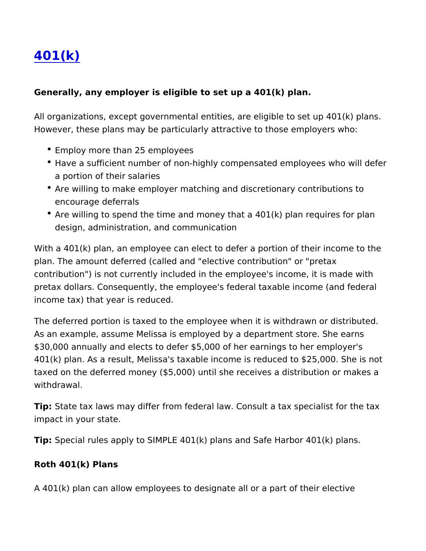## [401\(k](https://www.sbcorpstg.securitybenefit.com/employers/details/401k))

Generally, any employer is eligible to set up a 401(k) plan.

All organizations, except governmental entities, are eligible to set However, these plans may be particularly attractive to those empl

- Employ more than 25 employees
- Have a sufficient number of non-highly compensated employee a portion of their salaries
- Are willing to make employer matching and discretionary contr encourage deferrals
- Are willing to spend the time and money that a 401(k) plan require design, administration, and communication

With a 401(k) plan, an employee can elect to defer a portion of the plan. The amount deferred (called and "elective contribution" or " contribution") is not currently included in the employee's income, pretax dollars. Consequently, the employee's federal taxable inco income tax) that year is reduced.

The deferred portion is taxed to the employee when it is withdraw As an example, assume Melissa is employed by a department stor \$30,000 annually and elects to defer \$5,000 of her earnings to her employer's 401(k) plan. As a result, Melissa's taxable income is reduced to \$ taxed on the deferred money (\$5,000) until she receives a distrib withdrawal.

Tip: State tax laws may differ from federal law. Consult a tax spec impact in your state.

Tip: Special rules apply to SIMPLE 401(k) plans and Safe Harbor 401(k) plans.

Roth 401(k) Plans

A 401(k) plan can allow employees to designate all or a part of th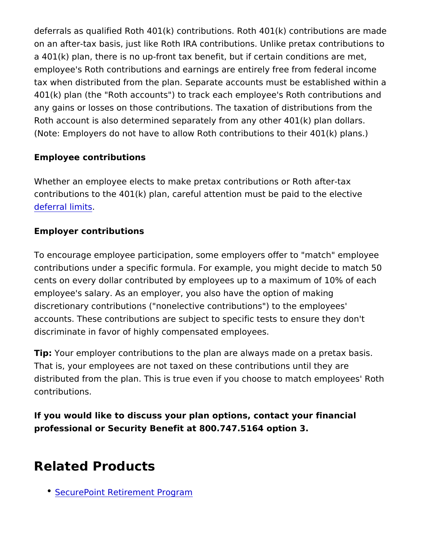deferrals as qualified Roth  $401(k)$  contributions. Roth  $401(k)$  cont on an after-tax basis, just like Roth IRA contributions. Unlike pre a 401(k) plan, there is no up-front tax benefit, but if certain cond employee's Roth contributions and earnings are entirely free from tax when distributed from the plan. Separate accounts must be es 401(k) plan (the "Roth accounts") to track each employee's Roth of any gains or losses on those contributions. The taxation of distributions Roth account is also determined separately from any other  $401(k)$ (Note: Employers do not have to allow Roth contributions to their

Employee contributions

Whether an employee elects to make pretax contributions or Roth contributions to the  $401(k)$  plan, careful attention must be paid to [deferral li](https://www.veritas-solutions.net/SecurityBenefit/api/materials/download.aspx?stocknumber=381024101)mits .

Employer contributions

To encourage employee participation, some employers offer to "m contributions under a specific formula. For example, you might de cents on every dollar contributed by employees up to a maximum employee's salary. As an employer, you also have the option of m discretionary contributions ("nonelective contributions") to the er accounts. These contributions are subject to specific tests to ens discriminate in favor of highly compensated employees.

Tip: Your employer contributions to the plan are always made on a That is, your employees are not taxed on these contributions unti distributed from the plan. This is true even if you choose to matc contributions.

If you would like to discuss your plan options, contact your finane professional or Security Benefit at 800.747.5164 option 3.

## Related Products

[SecurePoint Retirement](https://www.sbcorpstg.securitybenefit.com/employers/product/securepoint-retirement-program) Program